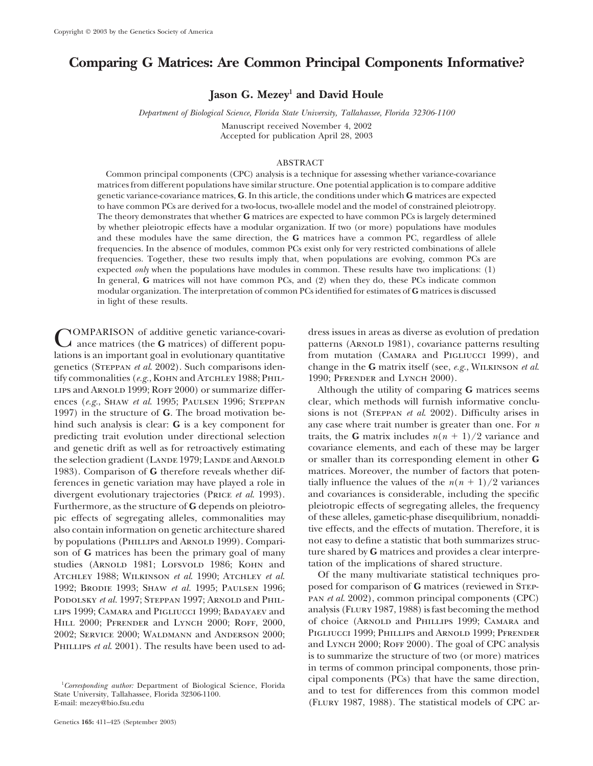# **Comparing G Matrices: Are Common Principal Components Informative?**

**Jason G. Mezey1 and David Houle**

*Department of Biological Science, Florida State University, Tallahassee, Florida 32306-1100*

Manuscript received November 4, 2002 Accepted for publication April 28, 2003

## ABSTRACT

Common principal components (CPC) analysis is a technique for assessing whether variance-covariance matrices from different populations have similar structure. One potential application is to compare additive genetic variance-covariance matrices, **G**. In this article, the conditions under which **G** matrices are expected to have common PCs are derived for a two-locus, two-allele model and the model of constrained pleiotropy. The theory demonstrates that whether **G** matrices are expected to have common PCs is largely determined by whether pleiotropic effects have a modular organization. If two (or more) populations have modules and these modules have the same direction, the **G** matrices have a common PC, regardless of allele frequencies. In the absence of modules, common PCs exist only for very restricted combinations of allele frequencies. Together, these two results imply that, when populations are evolving, common PCs are expected *only* when the populations have modules in common. These results have two implications: (1) In general, **G** matrices will not have common PCs, and (2) when they do, these PCs indicate common modular organization. The interpretation of common PCs identified for estimates of **G** matrices is discussed in light of these results.

**COMPARISON** of additive genetic variance-covari-<br> **COMPARISON** of additive genetic variance-covari-<br> **COMPARISON** of predation<br>  $\mu$  ance matrices (the **G** matrices) of different popu-<br>  $\mu$  anterns (ARNOLD 1981), covaria lations is an important goal in evolutionary quantitative genetics (Steppan *et al*. 2002). Such comparisons iden- change in the **G** matrix itself (see, *e.g.*, Wilkinson *et al*. tify commonalities (*e.g.*, KOHN and ATCHLEY 1988; PHIL- 1990; PFRENDER and LYNCH 2000). lips and Arnold 1999; Roff 2000) or summarize differ- Although the utility of comparing **G** matrices seems ences (*e.g.*, SHAW *et al.* 1995; PAULSEN 1996; STEPPAN clear, which methods will furnish informative conclu-1997) in the structure of **G**. The broad motivation be- sions is not (Steppan *et al*. 2002). Difficulty arises in hind such analysis is clear: **G** is a key component for any case where trait number is greater than one. For *n* predicting trait evolution under directional selection traits, the **G** matrix includes  $n(n + 1)/2$  variance and and genetic drift as well as for retroactively estimating covariance elements, and each of these may be larger the selection gradient (LANDE 1979; LANDE and ARNOLD or smaller than its corresponding element in other **G** 1983). Comparison of **G** therefore reveals whether dif- matrices. Moreover, the number of factors that potenferences in genetic variation may have played a role in tially influence the values of the  $n(n + 1)/2$  variances divergent evolutionary trajectories (Price *et al*. 1993). and covariances is considerable, including the specific Furthermore, as the structure of G depends on pleiotro- pleiotropic effects of segregating alleles, the frequency pic effects of segregating alleles, commonalities may of these alleles, gametic-phase disequilibrium, nonaddi-<br>also contain information on genetic architecture shared tive effects, and the effects of mutation. Therefore, i also contain information on genetic architecture shared by populations (PHILLIPS and ARNOLD 1999). Compari-<br>son of **G** matrices has been the primary goal of many ture shared by **G** matrices and provides a clear interpreson of **G** matrices has been the primary goal of many ture shared by **G** matrices and provides a clear studies (ARNOLD 1981: LOFSVOLD 1986: KOHN and tation of the implications of shared structure. studies (ARNOLD 1981; LOFSVOLD 1986; KOHN and tation of the implications of shared structure.<br>ATCHLEY 1988: WILKINSON *et al.* 1990: ATCHLEY *et al.* Of the many multivariate statistical techniques pro-ATCHLEY 1988; WILKINSON et al. 1990; ATCHLEY et al. 1992; Brodie 1993; Shaw *et al.* 1995; Paulsen 1996; posed for comparison of **G** matrices (reviewed in Step-<br>Popolsky *et al.* 1997: Steppan 1997: Arnold and Phil<sub>z</sub> PAN *et al.* 2002), common principal components (CPC) PODOLSKY *et al.* 1997; STEPPAN 1997; ARNOLD and PHIL-<br>
pan *et al.* 2002), common principal components (CPC)<br>
panel panel panel analysis (FLURY 1987, 1988) is fast becoming the method LIPS 1999; CAMARA and PIGLIUCCI 1999; BADAYAEV and analysis (FLURY 1987, 1988) is fast becoming the method<br>HILL 2000: PERENDER and LYNCH 2000: ROEE 2000 of choice (ARNOLD and PHILLIPS 1999; CAMARA and HILL 2000; Pfrender and Lynch 2000; Roff, 2000, of choice (Arnold and Phillips 1999; Camara and 2009· Service 2000· Waldmann and Anderson 2000· Pigliucci 1999; Phillips and Arnold 1999; Pfrender 2002; SERVICE 2000; WALDMANN and ANDERSON 2000;

patterns (ARNOLD 1981), covariance patterns resulting

PHILLIPS et al. 2001). The results have been used to ad-<br>and LYNCH 2000; ROFF 2000). The goal of CPC analysis is to summarize the structure of two (or more) matrices in terms of common principal components, those prin-<sup>1</sup>Corresponding author: Department of Biological Science, Florida cipal components (PCs) that have the same direction, *Corresponding author:* Department of Biological Science, Florida and to test for differences from this common model State University, Tallahassee, Florida 32306-1100.<br>
E-mail: mezey@bio.fsu.edu (FLURY 1987, 1988). The sta (FLURY 1987, 1988). The statistical models of CPC ar-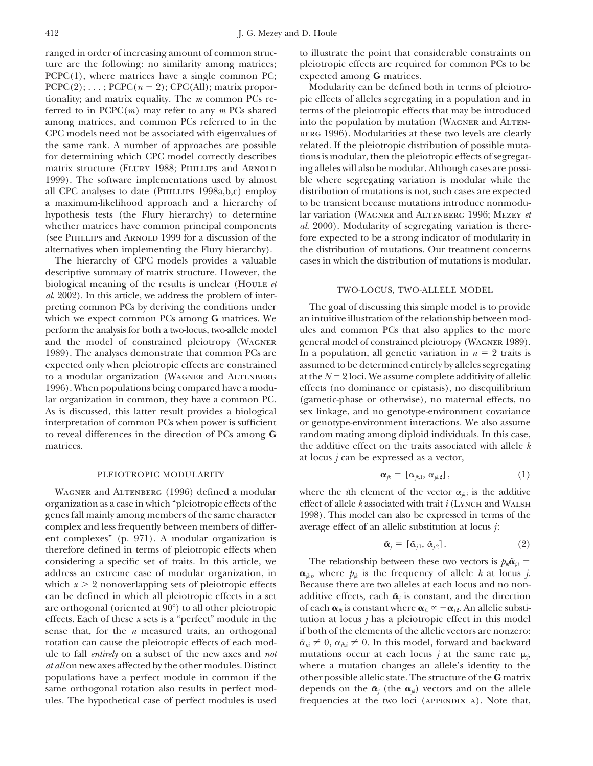ranged in order of increasing amount of common struc- to illustrate the point that considerable constraints on ture are the following: no similarity among matrices; pleiotropic effects are required for common PCs to be PCPC(1), where matrices have a single common PC; expected among **G** matrices.  $PCPC(2); \ldots; PCPC(n-2);$  CPC(All); matrix proportionality; and matrix equality. The *m* common PCs re- pic effects of alleles segregating in a population and in ferred to in PCPC(*m*) may refer to any *m* PCs shared terms of the pleiotropic effects that may be introduced among matrices, and common PCs referred to in the into the population by mutation (WAGNER and ALTEN-CPC models need not be associated with eigenvalues of BERG 1996). Modularities at these two levels are clearly the same rank. A number of approaches are possible related. If the pleiotropic distribution of possible mutafor determining which CPC model correctly describes tions is modular, then the pleiotropic effects of segregatmatrix structure (FLURY 1988; PHILLIPS and ARNOLD ing alleles will also be modular. Although cases are possi-1999). The software implementations used by almost ble where segregating variation is modular while the all CPC analyses to date (Phillips 1998a,b,c) employ distribution of mutations is not, such cases are expected a maximum-likelihood approach and a hierarchy of to be transient because mutations introduce nonmoduhypothesis tests (the Flury hierarchy) to determine lar variation (Wagner and Altenberg 1996; Mezey *et* whether matrices have common principal components *al.* 2000). Modularity of segregating variation is there-

descriptive summary of matrix structure. However, the biological meaning of the results is unclear (Houle *et* TWO-LOCUS, TWO-ALLELE MODEL *al.* 2002). In this article, we address the problem of interpreting common PCs by deriving the conditions under The goal of discussing this simple model is to provide which we expect common PCs among **G** matrices. We an intuitive illustration of the relationship between modperform the analysis for both a two-locus, two-allele model ules and common PCs that also applies to the more and the model of constrained pleiotropy (WAGNER general model of constrained pleiotropy (WAGNER 1989). 1989). The analyses demonstrate that common PCs are In a population, all genetic variation in  $n = 2$  traits is expected only when pleiotropic effects are constrained assumed to be determined entirely by alleles segregating to a modular organization (WAGNER and ALTENBERG at the  $N = 2$  loci. We assume complete additivity of allelic 1996). When populations being compared have a modu- effects (no dominance or epistasis), no disequilibrium lar organization in common, they have a common PC. (gametic-phase or otherwise), no maternal effects, no As is discussed, this latter result provides a biological sex linkage, and no genotype-environment covariance interpretation of common PCs when power is sufficient or genotype-environment interactions. We also assume to reveal differences in the direction of PCs among **G** random mating among diploid individuals. In this case, matrices. the additive effect on the traits associated with allele *k*

# *jk* [*jk*.1 PLEIOTROPIC MODULARITY , *jk*.2], (1)

WAGNER and ALTENBERG (1996) defined a modular where the *i*th element of the vector  $\alpha_{ik}$  is the additive organization as a case in which "pleiotropic effects of the effect of allele *k* associated with trait *i* (Lynch and Walsh genes fall mainly among members of the same character 1998). This model can also be expressed in terms of the complex and less frequently between members of differ- average effect of an allelic substitution at locus *j*: ent complexes" (p. 971). A modular organization is therefore defined in terms of pleiotropic effects when considering a specific set of traits. In this article, we The relationship between these two vectors is  $p_{jk} \tilde{\mathbf{\alpha}}_{ji} =$ are orthogonal (oriented at 90<sup>°</sup>) to all other pleiotropic

Modularity can be defined both in terms of pleiotro-(see PHILLIPS and ARNOLD 1999 for a discussion of the fore expected to be a strong indicator of modularity in alternatives when implementing the Flury hierarchy). the distribution of mutations. Our treatment concerns The hierarchy of CPC models provides a valuable cases in which the distribution of mutations is modular.

at locus *j* can be expressed as a vector,

$$
\boldsymbol{\alpha}_{jk} = [\alpha_{jk,1}, \alpha_{jk,2}], \qquad (1)
$$

$$
\tilde{\boldsymbol{\alpha}}_i = [\tilde{\alpha}_{i1}, \tilde{\alpha}_{i2}]. \tag{2}
$$

*address an extreme case of modular organization, in*  $\alpha_{ik,i}$ , where  $p_{ik}$  is the frequency of allele *k* at locus *j*. which  $x > 2$  nonoverlapping sets of pleiotropic effects Because there are two alleles at each locus and no noncan be defined in which all pleiotropic effects in a set additive effects, each  $\tilde{\alpha}_i$  is constant, and the direction of each  $\alpha_{ik}$  is constant where  $\alpha_{i1} \propto -\alpha_{i2}$ . An allelic substieffects. Each of these *x* sets is a "perfect" module in the tution at locus *j* has a pleiotropic effect in this model sense that, for the *n* measured traits, an orthogonal if both of the elements of the allelic vectors are nonzero: rotation can cause the pleiotropic effects of each mod-  $\tilde{\alpha}_{i,i} \neq 0$ ,  $\alpha_{i,i} \neq 0$ . In this model, forward and backward ule to fall *entirely* on a subset of the new axes and *not* mutations occur at each locus *j* at the same rate  $\mu_{\dot{p}}$ *at all* on new axes affected by the other modules. Distinct where a mutation changes an allele's identity to the populations have a perfect module in common if the other possible allelic state. The structure of the **G** matrix same orthogonal rotation also results in perfect mod-<br>depends on the  $\tilde{\alpha}_i$  (the  $\alpha_{ik}$ ) vectors and on the allele ules. The hypothetical case of perfect modules is used frequencies at the two loci (APPENDIX A). Note that,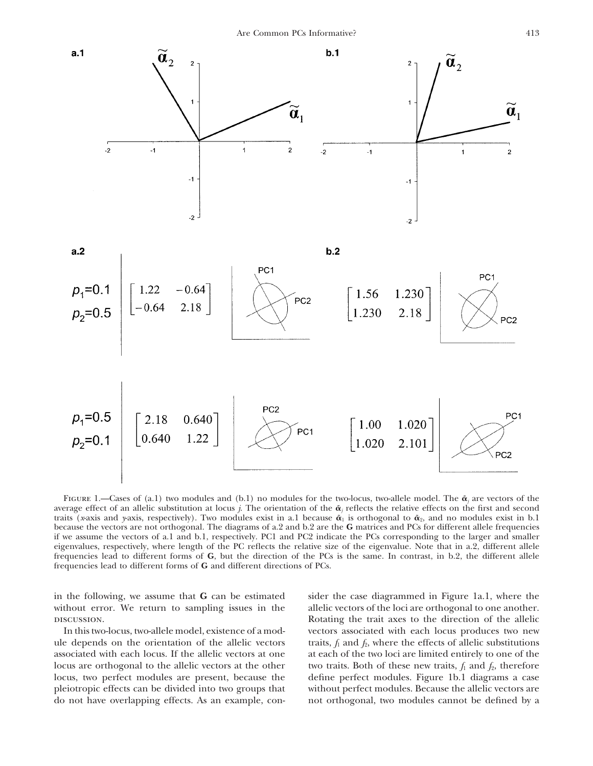

FIGURE 1.—Cases of (a.1) two modules and (b.1) no modules for the two-locus, two-allele model. The  $\tilde{\alpha}_i$  are vectors of the average effect of an allelic substitution at locus *j*. The orientation of the  $\tilde{\alpha}_i$  reflects the relative effects on the first and second traits (*x*-axis and *y*-axis, respectively). Two modules exist in a.1 because  $\tilde{\alpha}_1$  is orthogonal to  $\tilde{\alpha}_2$ , and no modules exist in b.1 because the vectors are not orthogonal. The diagrams of a.2 and b.2 are the **G** matrices and PCs for different allele frequencies if we assume the vectors of a.1 and b.1, respectively. PC1 and PC2 indicate the PCs corresponding to the larger and smaller eigenvalues, respectively, where length of the PC reflects the relative size of the eigenvalue. Note that in a.2, different allele frequencies lead to different forms of **G**, but the direction of the PCs is the same. In contrast, in b.2, the different allele frequencies lead to different forms of **G** and different directions of PCs.

without error. We return to sampling issues in the allelic vectors of the loci are orthogonal to one another.

associated with each locus. If the allelic vectors at one at each of the two loci are limited entirely to one of the locus are orthogonal to the allelic vectors at the other two traits. Both of these new traits,  $f_1$  and  $f_2$ , therefore locus, two perfect modules are present, because the define perfect modules. Figure 1b.1 diagrams a case pleiotropic effects can be divided into two groups that without perfect modules. Because the allelic vectors are do not have overlapping effects. As an example, con- not orthogonal, two modules cannot be defined by a

in the following, we assume that **G** can be estimated sider the case diagrammed in Figure 1a.1, where the discussion. Rotating the trait axes to the direction of the allelic In this two-locus, two-allele model, existence of a mod- vectors associated with each locus produces two new ule depends on the orientation of the allelic vectors traits,  $f_1$  and  $f_2$ , where the effects of allelic substitutions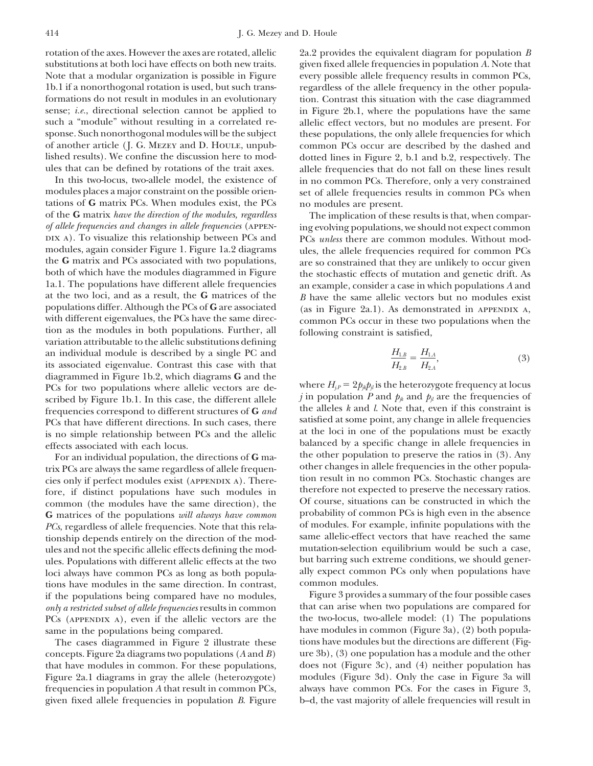rotation of the axes. However the axes are rotated, allelic 2a.2 provides the equivalent diagram for population *B*

In this two-locus, two-allele model, the existence of in no common PCs. Therefore, only a very constrained modules places a major constraint on the possible orien-<br>set of allele frequencies results in common PCs when tations of **G** matrix PCs. When modules exist, the PCs no modules are present. of the **G** matrix *have the direction of the modules, regardless* The implication of these results is that, when compar*of allele frequencies and changes in allele frequencies* (APPEN- ing evolving populations, we should not expect common<br>DIX A). To visualize this relationship between PCs and PCs *unless* there are common modules. Without DIX A). To visualize this relationship between PCs and PCs *unless* there are common modules. Without mod-<br>modules, again consider Figure 1. Figure 1a.2 diagrams ules, the allele frequencies required for common PCs modules, again consider Figure 1. Figure 1a.2 diagrams ules, the allele frequencies required for common PCs<br>the G matrix and PCs associated with two populations, are so constrained that they are unlikely to occur given the **G** matrix and PCs associated with two populations, are so constrained that they are unlikely to occur given<br>both of which have the modules diagrammed in Figure the stochastic effects of mutation and genetic drift. As both of which have the modules diagrammed in Figure the stochastic effects of mutation and genetic drift. As  $1a.1$ . The populations have different allele frequencies an example, consider a case in which populations A and 1a.1. The populations have different allele frequencies an example, consider a case in which populations *A* and at the two loci, and as a result, the **G** matrices of the *B* have the same allelic vectors but no modules ex at the two loci, and as a result, the **G** matrices of the *B* have the same allelic vectors but no modules exist<br>populations differ. Although the PCs of **G** are associated (as in Figure 2a.1). As demonstrated in APPENDIX A populations differ. Although the PCs of **G** are associated (as in Figure 2a.1). As demonstrated in APPENDIX A, with different eigenvalues, the PCs have the same direc- common PCs occur in these two populations when the tion as the modules in both populations. Further, all following constraint is satisfied, variation attributable to the allelic substitutions defining an individual module is described by a single PC and its associated eigenvalue. Contrast this case with that diagrammed in Figure 1b.2, which diagrams **G** and the PCs for two populations where allelic vectors are de-<br>scribed by Figure 1b.1. In this case, the different allele<br>frequencies orrespond to different structures of **G** and<br>PCs that have different directions. In such cases, PCs that have different directions. In such cases, there alleled at some point, any change in allele frequencies is no simple relationship between PCs and the allelic at the loci in one of the populations must be exactly is no simple relationship between PCs and the allelic

other changes in allele frequencies in the other popula-<br>cies only if perfect modules exist (appendix a). There-<br>fore is distinct populations have such modules in therefore not expected to preserve the necessary ratios. fore, if distinct populations have such modules in therefore not expected to preserve the necessary ratios.<br>Foreignmon (the modules have the same direction), the of course, situations can be constructed in which the common (the modules have the same direction), the  $\sigma$  Of course, situations can be constructed in which the  $\sigma$  matrices of the populations *will always have common* probability of common PCs is high even in the absence **G** matrices of the populations *will always have common* probability of common PCs is high even in the absence  $PCs$ , regardless of allele frequencies. Note that this rela- of modules. For example, infinite populations wit *PCs*, regardless of allele frequencies. Note that this rela-<br>tionship depends entirely on the direction of the mod-<br>same allelic-effect vectors that have reached the same tionship depends entirely on the direction of the mod-<br>ules and not the specific allelic effects defining the mod-<br>mutation-selection equilibrium would be such a case, ules and not the specific allelic effects defining the modules. Populations with different allelic effects at the two but barring such extreme conditions, we should generloci always have common PCs as long as both popula-<br>tions have modules in the same direction. In contrast common modules. tions have modules in the same direction. In contrast, common modules.<br>
if the populations being compared have no modules, Figure 3 provides a summary of the four possible cases if the populations being compared have no modules,<br>
Figure 3 provides a summary of the four possible cases<br>
only a restricted subset of allele frequencies results in common<br>
that can arise when two populations are compared *only a restricted subset of allele frequencies* results in common PCs (APPENDIX A), even if the allelic vectors are the the two-locus, two-allele model: (1) The populations same in the populations being compared. have modules in common (Figure 3a), (2) both popula-

concepts. Figure 2a diagrams two populations (*A* and *B*) ure 3b), (3) one population has a module and the other that have modules in common. For these populations, does not (Figure 3c), and (4) neither population has that have modules in common. For these populations, Figure 2a.1 diagrams in gray the allele (heterozygote) modules (Figure 3d). Only the case in Figure 3a will frequencies in population *A* that result in common PCs, always have common PCs. For the cases in Figure 3, given fixed allele frequencies in population *B*. Figure b–d, the vast majority of allele frequencies will result in

substitutions at both loci have effects on both new traits. given fixed allele frequencies in population *A*. Note that Note that a modular organization is possible in Figure every possible allele frequency results in common PCs, 1b.1 if a nonorthogonal rotation is used, but such trans- regardless of the allele frequency in the other populaformations do not result in modules in an evolutionary tion. Contrast this situation with the case diagrammed sense; *i.e.*, directional selection cannot be applied to in Figure 2b.1, where the populations have the same such a "module" without resulting in a correlated re- allelic effect vectors, but no modules are present. For sponse. Such nonorthogonal modules will be the subject these populations, the only allele frequencies for which of another article (J. G. Mezey and D. Houle, unpub- common PCs occur are described by the dashed and lished results). We confine the discussion here to mod-<br>ules that can be defined by rotations of the trait axes. allele frequencies that do not fall on these lines result es that can be defined by rotations of the trait axes. allele frequencies that do not fall on these lines result<br>In this two-locus, two-allele model, the existence of in no common PCs. Therefore, only a very constrained set of allele frequencies results in common PCs when

$$
\frac{H_{1,B}}{H_{2,B}} = \frac{H_{1,A}}{H_{2,A}},
$$
\n(3)

effects associated with each locus.<br>
For an individual population the directions of G matrice of the other population to preserve the ratios in (3). Any For an individual population, the directions of  $G$  ma-<br>interest population to preserve the ratios in (3). Any<br>other changes in allele frequencies in the other popula-<br>other changes in allele frequencies in the other popu

The cases diagrammed in Figure 2 illustrate these tions have modules but the directions are different (Fig-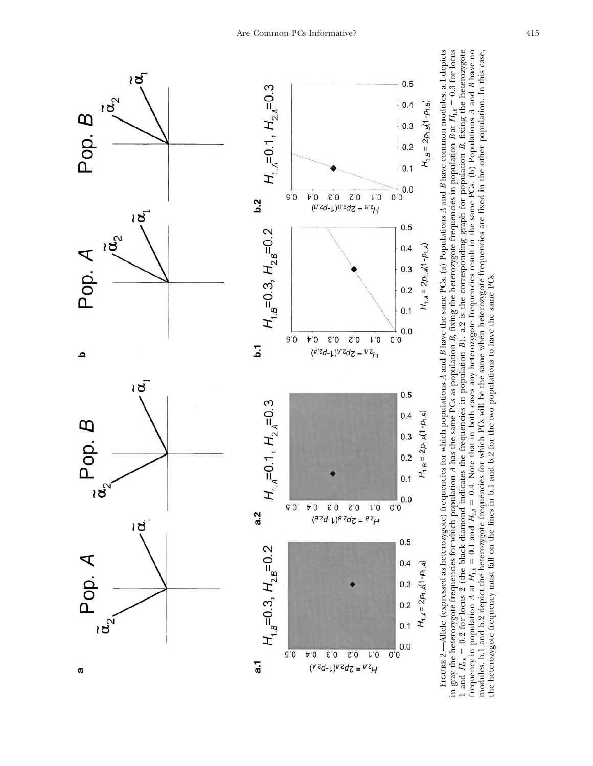

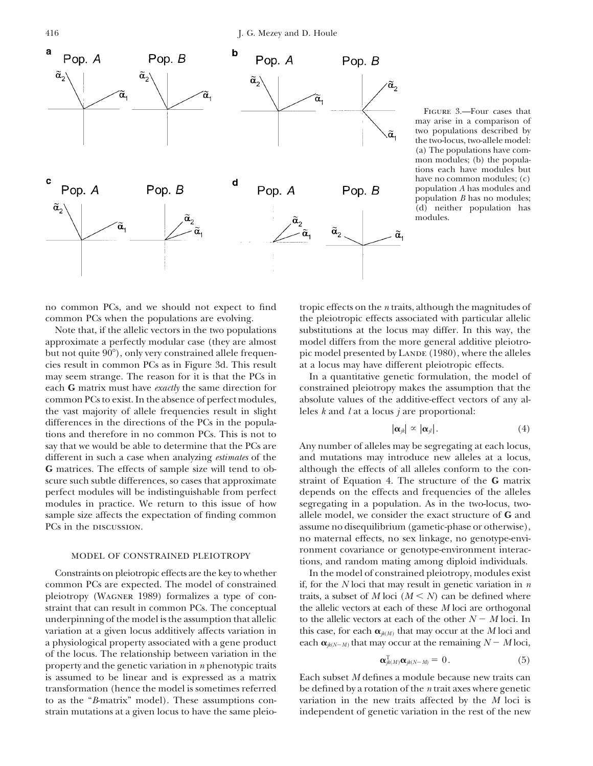

Figure 3.—Four cases that may arise in a comparison of two populations described by the two-locus, two-allele model: (a) The populations have common modules; (b) the populations each have modules but have no common modules; (c) population *A* has modules and population *B* has no modules; (d) neither population has modules.

cies result in common PCs as in Figure 3d. This result at a locus may have different pleiotropic effects. the vast majority of allele frequencies result in slight leles  $k$  and  $l$  at a locus  $j$  are proportional: differences in the directions of the PCs in the populations and therefore in no common PCs. This is not to say that we would be able to determine that the PCs are Any number of alleles may be segregating at each locus, different in such a case when analyzing *estimates* of the and mutations may introduce new alleles at a locus, **G** matrices. The effects of sample size will tend to ob- although the effects of all alleles conform to the conscure such subtle differences, so cases that approximate straint of Equation 4. The structure of the **G** matrix perfect modules will be indistinguishable from perfect depends on the effects and frequencies of the alleles modules in practice. We return to this issue of how segregating in a population. As in the two-locus, twosample size affects the expectation of finding common allele model, we consider the exact structure of **G** and PCs in the discussion. The discussion of the discussion of the discussion of the discussion of the discussion of the discussion of the discussion of the discussion of the discussion of the discussion of the discussion of t

underpinning of the model is the assumption that allelic a physiological property associated with a gene product of the locus. The relationship between variation in the property and the genetic variation in *n* phenotypic traits is assumed to be linear and is expressed as a matrix Each subset *M* defines a module because new traits can transformation (hence the model is sometimes referred be defined by a rotation of the *n* trait axes where genetic to as the "*B*-matrix" model). These assumptions con- variation in the new traits affected by the *M* loci is strain mutations at a given locus to have the same pleio- independent of genetic variation in the rest of the new

no common PCs, and we should not expect to find tropic effects on the *n* traits, although the magnitudes of common PCs when the populations are evolving. the pleiotropic effects associated with particular allelic Note that, if the allelic vectors in the two populations substitutions at the locus may differ. In this way, the approximate a perfectly modular case (they are almost model differs from the more general additive pleiotrobut not quite  $90^{\circ}$ ), only very constrained allele frequen- pic model presented by LANDE (1980), where the alleles

may seem strange. The reason for it is that the PCs in In a quantitative genetic formulation, the model of each **G** matrix must have *exactly* the same direction for constrained pleiotropy makes the assumption that the common PCs to exist. In the absence of perfect modules, absolute values of the additive-effect vectors of any al-

$$
|\boldsymbol{\alpha}_{jk}| \propto |\boldsymbol{\alpha}_{jl}|. \tag{4}
$$

no maternal effects, no sex linkage, no genotype-envi-MODEL OF CONSTRAINED PLEIOTROPY fromment covariance or genotype-environment interac-<br>tions, and random mating among diploid individuals.

Constraints on pleiotropic effects are the key to whether In the model of constrained pleiotropy, modules exist common PCs are expected. The model of constrained if, for the *N* loci that may result in genetic variation in *n* pleiotropy (WAGNER 1989) formalizes a type of con-<br>traits, a subset of  $M$  loci  $(M \le N)$  can be defined where straint that can result in common PCs. The conceptual the allelic vectors at each of these *M* loci are orthogonal to the allelic vectors at each of the other  $N - M$  loci. In variation at a given locus additively affects variation in this case, for each  $\alpha_{k(M)}$  that may occur at the *M* loci and  $_M$  that may occur at the remaining  $N - M$  loci,

$$
\boldsymbol{\alpha}_{jk(M)}^{\mathrm{T}}\boldsymbol{\alpha}_{jk(N-M)}=0.
$$
 (5)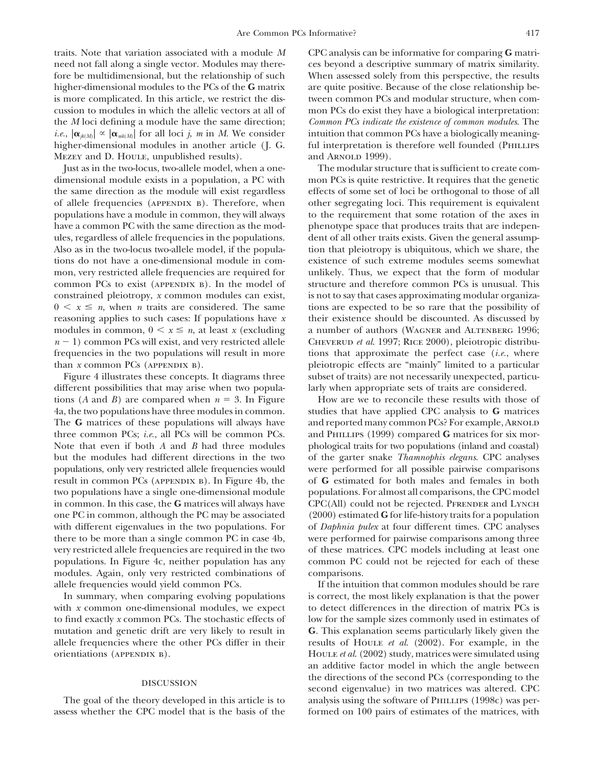traits. Note that variation associated with a module *M* CPC analysis can be informative for comparing **G** matrineed not fall along a single vector. Modules may there- ces beyond a descriptive summary of matrix similarity. fore be multidimensional, but the relationship of such When assessed solely from this perspective, the results higher-dimensional modules to the PCs of the **G** matrix are quite positive. Because of the close relationship be-<br>is more complicated. In this article, we restrict the dis-<br>tween common PCs and modular structure, when comis more complicated. In this article, we restrict the discussion to modules in which the allelic vectors at all of mon PCs do exist they have a biological interpretation: the *M* loci defining a module have the same direction; *Common PCs indicate the existence of common modules*. The *i.e.*,  $|\mathbf{\alpha}_{jk(M)}| \propto |\mathbf{\alpha}_{mk(M)}|$  for all loci *j*, *m* in *M*. We consider intuition that common PCs have a biologically meaning-<br>higher-dimensional modules in another article (J. G. ful interpretation is therefore well higher-dimensional modules in another article (J. G. MEZEY and D. Houle, unpublished results). and ARNOLD 1999.

dimensional module exists in a population, a PC with mon PCs is quite restrictive. It requires that the genetic the same direction as the module will exist regardless effects of some set of loci be orthogonal to those of all of allele frequencies (appendix b). Therefore, when other segregating loci. This requirement is equivalent populations have a module in common, they will always to the requirement that some rotation of the axes in have a common PC with the same direction as the mod-<br>phenotype space that produces traits that are indepenules, regardless of allele frequencies in the populations. dent of all other traits exists. Given the general assump-Also as in the two-locus two-allele model, if the popula- tion that pleiotropy is ubiquitous, which we share, the tions do not have a one-dimensional module in com- existence of such extreme modules seems somewhat mon, very restricted allele frequencies are required for unlikely. Thus, we expect that the form of modular common PCs to exist (APPENDIX B). In the model of structure and therefore common PCs is unusual. This constrained pleiotropy, *x* common modules can exist, is not to say that cases approximating modular organiza- $0 \leq x \leq n$ , when *n* traits are considered. The same reasoning applies to such cases: If populations have *x* their existence should be discounted. As discussed by modules in common,  $0 \le x \le n$ , at least x (excluding  $n-1$ ) common PCs will exist, and very restricted allele frequencies in the two populations will result in more tions that approximate the perfect case (*i.e.*, where than *x* common PCs (APPENDIX B). pleiotropic effects are "mainly" limited to a particular

different possibilities that may arise when two popula- larly when appropriate sets of traits are considered. tions (*A* and *B*) are compared when  $n = 3$ . In Figure How are we to reconcile these results with those of 4a, the two populations have three modules in common. studies that have applied CPC analysis to **G** matrices The G matrices of these populations will always have and reported many common PCs? For example, ARNOLD three common PCs; *i.e.*, all PCs will be common PCs. and PHILLIPS (1999) compared **G** matrices for six mor-Note that even if both *A* and *B* had three modules phological traits for two populations (inland and coastal) but the modules had different directions in the two of the garter snake *Thamnophis elegans*. CPC analyses populations, only very restricted allele frequencies would were performed for all possible pairwise comparisons result in common PCs (APPENDIX B). In Figure 4b, the of **G** estimated for both males and females in both two populations have a single one-dimensional module populations. For almost all comparisons, the CPC model in common. In this case, the **G** matrices will always have CPC(All) could not be rejected. PFRENDER and LYNCH one PC in common, although the PC may be associated (2000) estimated **G** for life-history traits for a population with different eigenvalues in the two populations. For of *Daphnia pulex* at four different times. CPC analyses there to be more than a single common PC in case 4b, were performed for pairwise comparisons among three very restricted allele frequencies are required in the two of these matrices. CPC models including at least one populations. In Figure 4c, neither population has any common PC could not be rejected for each of these modules. Again, only very restricted combinations of comparisons.

with  $x$  common one-dimensional modules, we expect to detect differences in the direction of matrix PCs is mutation and genetic drift are very likely to result in **G**. This explanation seems particularly likely given the allele frequencies where the other PCs differ in their results of Houle *et al*. (2002). For example, in the

assess whether the CPC model that is the basis of the formed on 100 pairs of estimates of the matrices, with

Just as in the two-locus, two-allele model, when a one- The modular structure that is sufficient to create comtions are expected to be so rare that the possibility of a number of authors (WAGNER and ALTENBERG 1996; CHEVERUD et al. 1997; RICE 2000), pleiotropic distribu-Figure 4 illustrates these concepts. It diagrams three subset of traits) are not necessarily unexpected, particu-

allele frequencies would yield common PCs. If the intuition that common modules should be rare In summary, when comparing evolving populations is correct, the most likely explanation is that the power to find exactly *x* common PCs. The stochastic effects of low for the sample sizes commonly used in estimates of orientiations (APPENDIX B). Houle *et al.* (2002) study, matrices were simulated using an additive factor model in which the angle between the directions of the second PCs (corresponding to the second eigenvalue) in two matrices was altered. CPC The goal of the theory developed in this article is to analysis using the software of PHILLIPS (1998c) was per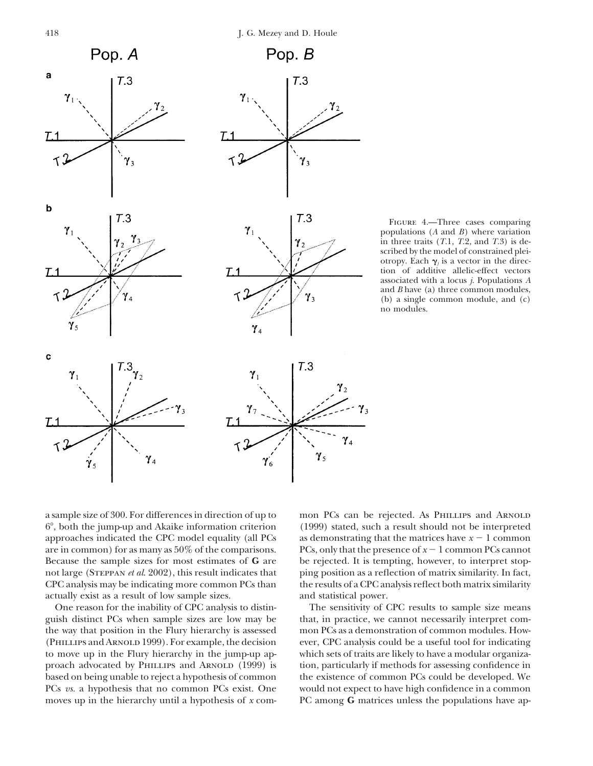$\mathbf b$ 

 $L1$ 

 $\mathbf c$ 

てっ

 $\gamma_{\varsigma}$ 

 $\gamma_1$ 



 $T.3$ 

 $\gamma_4$ 

 $\gamma_{\scriptscriptstyle{3}}$  $\gamma_{2}$ 



 $T.3$ 

Figure 4.—Three cases comparing populations (*A* and *B*) where variation in three traits (*T*.1, *T*.2, and *T*.3) is described by the model of constrained pleiotropy. Each  $\gamma_j$  is a vector in the direction of additive allelic-effect vectors associated with a locus *j*. Populations *A* and *B* have (a) three common modules, (b) a single common module, and (c) no modules.



a sample size of 300. For differences in direction of up to mon PCs can be rejected. As PHILLIPS and ARNOLD 6°, both the jump-up and Akaike information criterion (1999) stated, such a result should not be interpreted approaches indicated the CPC model equality (all PCs are in common) for as many as  $50\%$  of the comparisons. Because the sample sizes for most estimates of **G** are be rejected. It is tempting, however, to interpret stopnot large (Steppan *et al*. 2002), this result indicates that ping position as a reflection of matrix similarity. In fact, CPC analysis may be indicating more common PCs than the results of a CPC analysis reflect both matrix similarity actually exist as a result of low sample sizes. and statistical power.

guish distinct PCs when sample sizes are low may be that, in practice, we cannot necessarily interpret comthe way that position in the Flury hierarchy is assessed mon PCs as a demonstration of common modules. How to move up in the Flury hierarchy in the jump-up ap- which sets of traits are likely to have a modular organiza-

as demonstrating that the matrices have  $x - 1$  common PCs, only that the presence of  $x - 1$  common PCs cannot

One reason for the inability of CPC analysis to distin- The sensitivity of CPC results to sample size means (Phillips and Arnold 1999). For example, the decision ever, CPC analysis could be a useful tool for indicating proach advocated by PHILLIPS and ARNOLD (1999) is tion, particularly if methods for assessing confidence in based on being unable to reject a hypothesis of common the existence of common PCs could be developed. We PCs *vs.* a hypothesis that no common PCs exist. One would not expect to have high confidence in a common moves up in the hierarchy until a hypothesis of *x* com- PC among **G** matrices unless the populations have ap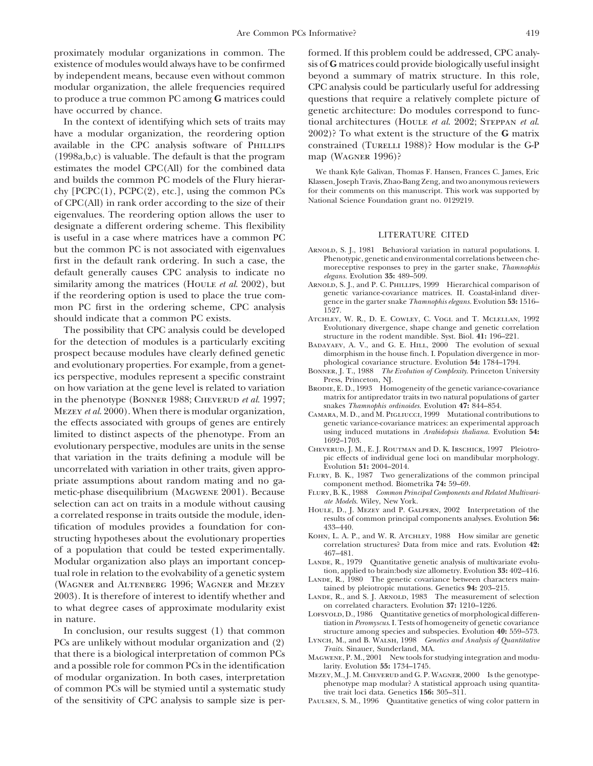proximately modular organizations in common. The formed. If this problem could be addressed, CPC analyexistence of modules would always have to be confirmed sis of **G** matrices could provide biologically useful insight by independent means, because even without common beyond a summary of matrix structure. In this role, modular organization, the allele frequencies required CPC analysis could be particularly useful for addressing to produce a true common PC among **G** matrices could questions that require a relatively complete picture of have occurred by chance. The same sense is a genetic architecture: Do modules correspond to func-

have a modular organization, the reordering option 2002)? To what extent is the structure of the **G** matrix available in the CPC analysis software of PHILLIPS constrained (TURELLI 1988)? How modular is the G-P  $(1998a,b,c)$  is valuable. The default is that the program map (WAGNER 1996)? estimates the model CPC(All) for the combined data We thank Kyle Galivan, Thomas F. Hansen, Frances C. James, Eric and builds the common PC models of the Flury hierar-<br>Klassen, Joseph Travis, Zhao-Bang Zeng, and two anonymous reviewers chy [PCPC(1), PCPC(2), etc.], using the common PCs for their comments on this manuscript. This work was supported by<br>of CPC(All) in rank order according to the size of their National Science Foundation grant no. 0129219. of CPC(All) in rank order according to the size of their eigenvalues. The reordering option allows the user to designate a different ordering scheme. This flexibility is useful in a case where matrices have a common PC LITERATURE CITED but the common PC is not associated with eigenvalues ARNOLD, S. J., 1981 Behavioral variation in natural populations. I.<br>
first in the default rank ordering In such a case the Phenotypic, genetic and environmental correlat first in the default rank ordering. In such a case, the<br>default generally causes CPC analysis to indicate no<br>similarity among the matrices (HOULE *et al.* 2002), but ARNOLD, S. J., and P. C. PHILLIPS, 1999 Hierarchical com similarity among the matrices (HOULE *et al.* 2002), but ARNOLD, S. J., and P. C. PHILLIPS, 1999 Hierarchical comparison of if the reordering option is used to place the true com-<br>genetic variance-covariance matrices. II. if the reordering option is used to place the true com-<br>mon PC first in the ordering scheme, CPC analysis<br>should indicate that a common PC exists.<br>ATCHLEY, W. R., D. E. COWLEY, C. VOGL and T. MCLELLAN, 1992

The possibility that CPC analysis could be developed Evolutionary divergence, shape change and genetic correlation of modules is a particularly expiring structure in the rodent mandible. Syst. Biol. 41: 196–221. for the detection of modules is a particularly exciting BADAYAEV, A. V., and G. E. HILL, 2000 The evolution of sexual prospect because modules have clearly defined genetic dimorphism in the house finch. I. Population divergence in mor-<br>and evolution ary properties For example from a genet-<br>phological covariance structure. Evolution 54: 17 and evolutionary properties. For example, from a genet-<br>ics perspective, modules represent a specific constraint<br>on how variation at the gene level is related to variation<br>on how variation at the gene level is related to v on how variation at the gene level is related to variation BRODIE, E. D., 1993 Homogeneity of the genetic variance-covariance<br>in the phenotype (BONNED 1988: CUEVENUD et al. 1997;<br>matrix for antipredator traits in two natur in the phenotype (BONNER 1988; CHEVERUD *et al.* 1997;<br>
MEZEY *et al.* 2000). When there is modular organization,<br>
the effects associated with groups of genes are entirely<br>
the effects associated with groups of genes are e the effects associated with groups of genes are entirely genetic variance-covariance matrices: an experimental approach<br>limited to distinct aspects of the phenotype From an using induced mutations in Arabidobsis thaliana. limited to distinct aspects of the phenotype. From an using induced mutations in Arabidopsis thaliana. Evolution 54:<br>evolutionary perspective, modules are units in the sense CHEVERUD, J. M., E. J. ROUTMAN and D. K. IRSCHIC that variation in the traits defining a module will be pic effects of individual generalized with variation in other traits given approximately evolution 51: 2004–2014. uncorrelated with variation in other traits, given appro-<br>priate assumptions about random mating and no gametic-phase disequilibrium (MAGWENE 2001). Because<br>metic-phase disequilibrium (MAGWENE 2001). Because<br>FLURY, B. K., metic-phase disequilibrium (MAGWENE 2001). Because FLURY, B. K., 1988 *Common Principal Common Principal Common Principal Common Principal Common Principal Common Principal Components and Relation Camponents and Relation C* selection can act on traits in a module without causing<br>a correlated response in traits outside the module, iden-<br>tification of modules provides a foundation for con-<br>tification of modules provides a foundation for con-<br> $\$ tification of modules provides a foundation for con-<br>structing hypotheses about the evolutionary properties KOHN, L. A. P., and W. R. ATCHLEY, 1988 How similar are genetic structing hypotheses about the evolutionary properties<br>of a population that could be tested experimentally.<br> $467-481$ .<br> $467-481$ . Modular organization also plays an important concep-<br>
LANDE, R., 1979 Quantitative genetic analysis of multivariate evolu-<br>
tion, applied to brain:body size allometry. Evolution 33: 402–416. tual role in relation to the evolvability of a genetic system<br>
(WAGNER and ALTENBERG 1996; WAGNER and MEZEY<br>
LANDE, R., 1980 The genetic covariance between characters main-<br>
tained by pleiotropic mutations. Genetics 94: 20 2003). It is therefore of interest to identify whether and LANDE, R., and S. J. ARNOLD, 1983 The measurement of selection to what degree cases of annovimate modularity exist on correlated characters. Evolution 37: 1210–122

In conclusion, our results suggest (1) that common structure among species and subspecies. Evolution 40: 559–573.<br>
Se are unlikely without modular organization and (9) LYNCH, M., and B. WALSH, 1998 Genetics and Analysis of PCs are unlikely without modular organization and (2)<br>that there is a biological interpretation of common PCs<br>and a possible role for common PCs in the identification<br>and a possible role for common PCs in the identificatio and a possible role for common PCs in the identification larity. Evolution **55:** 1734–1745. of the sensitivity of CPC analysis to sample size is per- Paulsen, S. M., 1996 Quantitative genetics of wing color pattern in

In the context of identifying which sets of traits may tional architectures (Houle *et al*. 2002; Steppan *et al*.

- 
- 
- ATCHLEY, W. R., D. E. COWLEY, C. VOGL and T. MCLELLAN, 1992<br>Evolutionary divergence, shape change and genetic correlation
- 
- 
- 
- 
- 
- 
- 
- 
- 
- 
- 
- 
- to what degree cases of approximate modularity exist<br>in nature.<br>In conclusion, our results suggest (1) that common<br>In conclusion, our results suggest (1) that common<br>In enormy scuss. I. Tests of homogeneity of genetic cova
	-
	-
- of modular organization. In both cases, interpretation MEZEY, M., J. M. CHEVERUD and G. P. WAGNER, 2000 Is the genotype-<br>of common PCs will be stymied until a systematic study tive trait loci data. Genetics 156: 305-311.
	-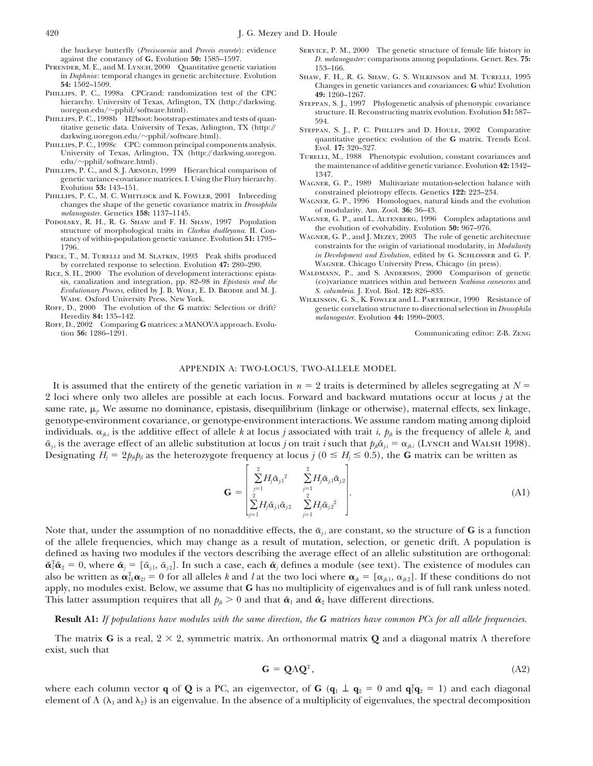the buckeye butterfly (*Preciscoenia* and *Preceis evarete*): evidence Service, P. M., 2000 The genetic structure of female life history in

- PFRENDER, M. E., and M. Lynch, 2000 Quantitative genetic variation in *Daphnia*: temporal changes in genetic architecture. Evolution
- Phillips, P. C., 1998a CPCrand: randomization test of the CPC **49:** 1260–1267.
- PHILLIPS, P. C., 1998b H2boot: bootstrap estimates and tests of quantitative genetic data. University of Texas, Arlington, TX (http://
- 
- edu/~pphil/software.html).<br>
PHILLIPS, P. C., and S. J. ARNOLD, 1999 Hierarchical comparison of the maintenance of additive genetic variance. Evolution 42: 1342-<br>
genetic variance covariance matrices. I. Using the Flury hie
- 
- melanogaster. Genetics 158: 1137–1145.<br>
PODOLSKY, R. H., R. G. SHAW and F. H. SHAW, 1997 Population<br>
structure of morphological traits in *Clarkia dudleyana*. II. Contraction of evolution of evolution of evolution 50: 967– stancy of within-population genetic variance. Evolution **51:** 1795–1796.
- PRICE, T., M. TURELLI and M. SLATKIN, 1993 Peak shifts produced *in Development and Evolution*, edited by G. SCHLOSSER a<br>by correlated response to selection. Evolution 47: 280–290. WAGNER. Chicago University Press, Chicago
- sis, canalization and integration, pp. 82–98 in *Epistasis and the* (co)variance matrices within and between *Evolutionary Process*, edited by J. B. WOLF, E. D. BRODIE and M. J. S. *columbria*. J. Evol. Biol. 12: 826–835. *Evolutionary Process*, edited by J. B. WOLF, E. D. BRODIE and M. J. WADE. Oxford University Press, New York.

Roff, D., 2002 Comparing **G** matrices: a MANOVA approach. Evolution **56:** 1286–1291.

- against the constancy of **G.** Evolution **50:** 1585–1597. *D. melanogaster*: comparisons among populations. Genet. Res. **75:**
- in *Daphnia*: temporal changes in genetic architecture. Evolution SHAW, F. H., R. G. SHAW, G. S. WILKINSON and M. TURELLI, 1995<br>54: 1502–1509. Changes in genetic variances and covariances: G whizl Evolution **54:** 1502–1509. Changes in genetic variances and covariances: **G** whiz! Evolution
- hierarchy. University of Texas, Arlington, TX (http://darkwing. Steppan, S. J., 1997 Phylogenetic analysis of phenotypic covariance uoregon.edu/~pphil/software.html). structure. II. Reconstructing matrix evolution. Evolution **51:** 587–
- titative genetic data. University of Texas, Arlington, TX (http:// STEPPAN, S. J., P. C. PHILLIPS and D. HOULE, 2002 Comparative darkwing.uoregon.edu/~pphil/software.html).<br>PHILLIPS, P. C., 1998c CPC: common principal comp quantitative genetics: evolution of the **G** matrix. Trends Ecol.
- PHILLIPS, P. C., 1998c CPC: common principal components analysis.<br>
University of Texas, Arlington, TX (http://darkwing.uoregon. TURELLI, M., 1988 Phenotypic evolution, constant covariances and<br>
edu/~pphil/software.html).<br>
	-
	-
	-
	- constraints for the origin of variational modularity, in *Modularity* in *Development and Evolution*, edited by G. SCHLOSSER and G. P.
- by correlated response to selection. Evolution 47: 280–290. WAGNER. Chicago University Press, Chicago (in press).<br>E, S. H., 2000 The evolution of development interactions: epista-<br>WALDMANN, P., and S. ANDERSON, 2000 Compar RICE, S. H., 2000 The evolution of development interactions: epista-<br>sis, canalization and integration, pp. 82–98 in *Epistasis and the* (co)variance matrices within and between *Scabiosa canescens* and
- WADE. Oxford University Press, New York. Wilkinson, G. S., K. Fowler and L. PARTRIDGE, 1990 Resistance of ROFF, D., 2000 The evolution of the **G** matrix: Selection or drift? eenetic correlation structure to directional sel Roff, D., 2000 The evolution of the **G** matrix: Selection or drift? genetic correlation structure to directional selection in *Drosophila* melanogaster. Evolution 44: 1990–2003.

Communicating editor: Z-B. ZENG

### APPENDIX A: TWO-LOCUS, TWO-ALLELE MODEL

It is assumed that the entirety of the genetic variation in  $n = 2$  traits is determined by alleles segregating at  $N =$ 2 loci where only two alleles are possible at each locus. Forward and backward mutations occur at locus *j* at the same rate,  $\mu_j$ . We assume no dominance, epistasis, disequilibrium (linkage or otherwise), maternal effects, sex linkage, genotype-environment covariance, or genotype-environment interactions. We assume random mating among diploid individuals.  $\alpha_{jk,i}$  is the additive effect of allele *k* at locus *j* associated with trait *i*,  $p_{jk}$  is the frequency of allele *k*, and  $\tilde{\alpha}_{ji}$  is the average effect of an allelic substitution at locus *j* on trait *i* such that  $p_{ji}\tilde{\alpha}_{ji} = \alpha_{ji}$  (Lynch and WALSH 1998). Designating  $H_j = 2p_{jk}p_{jl}$  as the heterozygote frequency at locus  $j$  ( $0 \le H_j \le 0.5$ ), the G matrix can be written as

$$
\mathbf{G} = \begin{bmatrix} \sum_{j=1}^{2} H_{j} \tilde{\alpha}_{j1}^{2} & \sum_{j=1}^{2} H_{j} \tilde{\alpha}_{j1} \tilde{\alpha}_{j2} \\ \sum_{j=1}^{2} H_{j} \tilde{\alpha}_{j1} \tilde{\alpha}_{j2} & \sum_{j=1}^{2} H_{j} \tilde{\alpha}_{j2}^{2} \end{bmatrix} .
$$
 (A1)

Note that, under the assumption of no nonadditive effects, the  $\tilde{\alpha}_{i,i}$  are constant, so the structure of **G** is a function of the allele frequencies, which may change as a result of mutation, selection, or genetic drift. A population is defined as having two modules if the vectors describing the average effect of an allelic substitution are orthogonal:  $\tilde{\alpha}_i^T \tilde{\alpha}_2 = 0$ , where  $\tilde{\alpha}_j = [\tilde{\alpha}_{j.1}, \tilde{\alpha}_{j.2}]$ . In such a case, each  $\tilde{\alpha}_j$  defines a module (see text). The existence of modules can also be written as  $\alpha_{1k}^T\alpha_{2l} = 0$  for all alleles *k* and *l* at the two loci where  $\alpha_{jk} = [\alpha_{jk1}, \alpha_{jk2}]$ . If these conditions do not apply, no modules exist. Below, we assume that **G** has no multiplicity of eigenvalues and is of full rank unless noted. This latter assumption requires that all  $p_{jk} > 0$  and that  $\tilde{\boldsymbol{\alpha}}_1$  and  $\tilde{\boldsymbol{\alpha}}_2$  have different directions.

# **Result A1:** *If populations have modules with the same direction, the G matrices have common PCs for all allele frequencies.*

The matrix **G** is a real,  $2 \times 2$ , symmetric matrix. An orthonormal matrix **Q** and a diagonal matrix  $\Lambda$  therefore exist, such that

$$
\mathbf{G} = \mathbf{Q} \Lambda \mathbf{Q}^{\mathrm{T}},\tag{A2}
$$

where each column vector **q** of **Q** is a PC, an eigenvector, of **G** ( $\mathbf{q}_1 \perp \mathbf{q}_2 = 0$  and  $\mathbf{q}_1^T \mathbf{q}_2 = 1$ ) and each diagonal element of  $\Lambda$  ( $\lambda_1$  and  $\lambda_2$ ) is an eigenvalue. In the absence of a multiplicity of eigenvalues, the spectral decomposition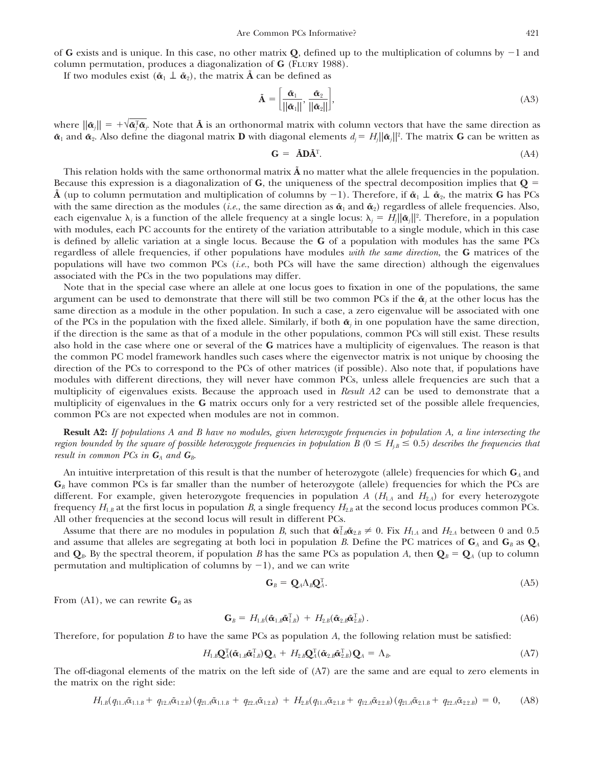of **G** exists and is unique. In this case, no other matrix  $Q$ , defined up to the multiplication of columns by  $-1$  and column permutation, produces a diagonalization of **G** (FLURY 1988).

If two modules exist  $(\tilde{\boldsymbol{\alpha}}_1 \perp \tilde{\boldsymbol{\alpha}}_2)$ , the matrix  $\tilde{\boldsymbol{\Lambda}}$  can be defined as

$$
\tilde{\mathbf{A}} = \left[ \frac{\tilde{\boldsymbol{\alpha}}_1}{||\tilde{\boldsymbol{\alpha}}_1||}, \frac{\tilde{\boldsymbol{\alpha}}_2}{||\tilde{\boldsymbol{\alpha}}_2||} \right],\tag{A3}
$$

where  $\|\tilde{\bm{\alpha}}_j\| = +\sqrt{\tilde{\bm{\alpha}}_j^{\mathrm{T}}\tilde{\bm{\alpha}}_j}$ . Note that  $\tilde{\mathbf{A}}$  is an orthonormal matrix with column vectors that have the same direction as  $\tilde{\alpha}_1$  and  $\tilde{\alpha}_2$ . Also define the diagonal matrix  $D$  with diagonal elements  $d_j = H_j ||\tilde{\alpha}_j||^2$ . The matrix  $G$  can be written as

$$
\mathbf{G} = \tilde{\mathbf{A}} \mathbf{D} \tilde{\mathbf{A}}^{\mathrm{T}}.\tag{A4}
$$

This relation holds with the same orthonormal matrix  $\tilde{A}$  no matter what the allele frequencies in the population. Because this expression is a diagonalization of **G**, the uniqueness of the spectral decomposition implies that  $Q =$ **A** (up to column permutation and multiplication of columns by  $-1$ ). Therefore, if  $\tilde{\alpha}_1 \perp \tilde{\alpha}_2$ , the matrix **G** has PCs with the same direction as the modules (*i.e.*, the same direction as  $\tilde{\alpha}_1$  and  $\tilde{\alpha}_2$ ) regardless of allele frequencies. Also, each eigenvalue  $\lambda_j$  is a function of the allele frequency at a single locus:  $\lambda_j = H_j ||\tilde{\pmb{\alpha}}_j||^2$ . Therefore, in a population with modules, each PC accounts for the entirety of the variation attributable to a single module, which in this case is defined by allelic variation at a single locus. Because the **G** of a population with modules has the same PCs regardless of allele frequencies, if other populations have modules *with the same direction*, the **G** matrices of the populations will have two common PCs (*i.e.*, both PCs will have the same direction) although the eigenvalues associated with the PCs in the two populations may differ.

Note that in the special case where an allele at one locus goes to fixation in one of the populations, the same argument can be used to demonstrate that there will still be two common PCs if the  $\tilde{\alpha}_i$  at the other locus has the same direction as a module in the other population. In such a case, a zero eigenvalue will be associated with one of the PCs in the population with the fixed allele. Similarly, if both  $\tilde{\alpha}$  in one population have the same direction, if the direction is the same as that of a module in the other populations, common PCs will still exist. These results also hold in the case where one or several of the **G** matrices have a multiplicity of eigenvalues. The reason is that the common PC model framework handles such cases where the eigenvector matrix is not unique by choosing the direction of the PCs to correspond to the PCs of other matrices (if possible). Also note that, if populations have modules with different directions, they will never have common PCs, unless allele frequencies are such that a multiplicity of eigenvalues exists. Because the approach used in *Result A2* can be used to demonstrate that a multiplicity of eigenvalues in the **G** matrix occurs only for a very restricted set of the possible allele frequencies, common PCs are not expected when modules are not in common.

**Result A2:** *If populations A and B have no modules, given heterozygote frequencies in population A, a line intersecting the region bounded by the square of possible heterozygote frequencies in population B* ( $0 \le H_{j,B} \le 0.5$ ) describes the frequencies that *result in common PCs in*  $G_A$  *and*  $G_B$ .

An intuitive interpretation of this result is that the number of heterozygote (allele) frequencies for which **G***<sup>A</sup>* and  $\mathbf{G}_B$  have common PCs is far smaller than the number of heterozygote (allele) frequencies for which the PCs are different. For example, given heterozygote frequencies in population *A* ( $H_{1,4}$  and  $H_{2,4}$ ) for every heterozygote frequency  $H_{1,B}$  at the first locus in population *B*, a single frequency  $H_{2,B}$  at the second locus produces common PCs. All other frequencies at the second locus will result in different PCs.

Assume that there are no modules in population *B*, such that  $\tilde{\alpha}_{1,B}^T\tilde{\alpha}_{2,B}\neq 0$ . Fix  $H_{1.A}$  and  $H_{2.A}$  between 0 and 0.5 and assume that alleles are segregating at both loci in population *B*. Define the PC matrices of  $G_A$  and  $G_B$  as  $Q_A$ and  $\mathbf{Q}_B$ . By the spectral theorem, if population *B* has the same PCs as population *A*, then  $\mathbf{Q}_B = \mathbf{Q}_A$  (up to column permutation and multiplication of columns by  $-1$ ), and we can write

$$
\mathbf{G}_B = \mathbf{Q}_A \Lambda_B \mathbf{Q}_A^{\mathrm{T}}.\tag{A5}
$$

From (A1), we can rewrite  $\mathbf{G}_B$  as

$$
\mathbf{G}_{B} = H_{1,B}(\tilde{\boldsymbol{\alpha}}_{1,B}\tilde{\boldsymbol{\alpha}}_{1,B}^{T}) + H_{2,B}(\tilde{\boldsymbol{\alpha}}_{2,B}\tilde{\boldsymbol{\alpha}}_{2,B}^{T}).
$$
\n(A6)

Therefore, for population *B* to have the same PCs as population *A*, the following relation must be satisfied:

$$
H_{1,B}\mathbf{Q}_{A}^{\mathrm{T}}(\tilde{\boldsymbol{\alpha}}_{1,B}\tilde{\boldsymbol{\alpha}}_{1,B}^{\mathrm{T}})\mathbf{Q}_{A} + H_{2,B}\mathbf{Q}_{A}^{\mathrm{T}}(\tilde{\boldsymbol{\alpha}}_{2,B}\tilde{\boldsymbol{\alpha}}_{2,B}^{\mathrm{T}})\mathbf{Q}_{A} = \Lambda_{B}.
$$
 (A7)

The off-diagonal elements of the matrix on the left side of (A7) are the same and are equal to zero elements in the matrix on the right side:

$$
H_{1,B}(q_{11,A}\tilde{\alpha}_{1,1,B} + q_{12,A}\tilde{\alpha}_{1,2,B}) (q_{21,A}\tilde{\alpha}_{1,1,B} + q_{22,A}\tilde{\alpha}_{1,2,B}) + H_{2,B}(q_{11,A}\tilde{\alpha}_{2,1,B} + q_{12,A}\tilde{\alpha}_{2,2,B}) (q_{21,A}\tilde{\alpha}_{2,1,B} + q_{22,A}\tilde{\alpha}_{2,2,B}) = 0, \quad (A8)
$$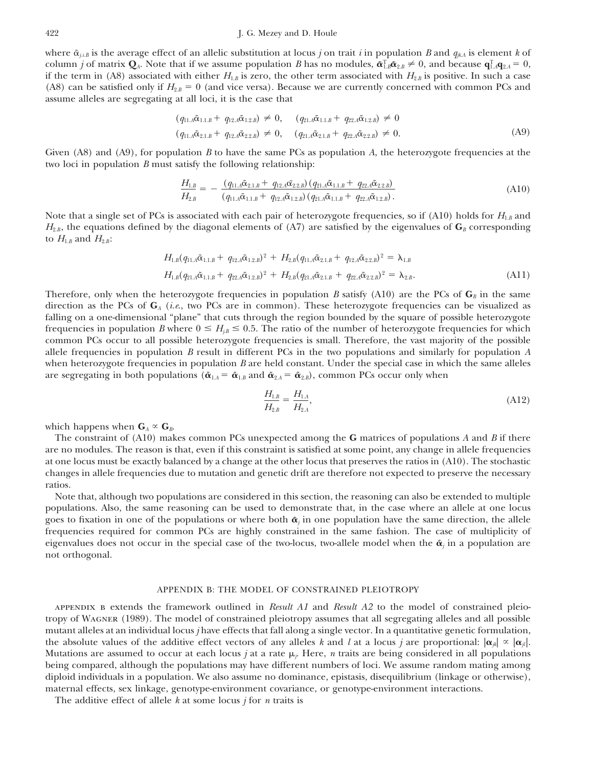where  $\tilde{\alpha}_{i,i}$  is the average effect of an allelic substitution at locus *j* on trait *i* in population *B* and  $q_{ik}$  is element *k* of column *j* of matrix  $Q_A$ . Note that if we assume population *B* has no modules,  $\tilde{\alpha}_{1,B}^T \tilde{\alpha}_{2,B} \neq 0$ , and because  $q_{1,A}^T q_{2,A} = 0$ , if the term in (A8) associated with either  $H_{1,B}$  is zero, the other term associated with  $H_{2,B}$  is positive. In such a case (A8) can be satisfied only if  $H_{2,B} = 0$  (and vice versa). Because we are currently concerned with common PCs and assume alleles are segregating at all loci, it is the case that

$$
(q_{11}A\tilde{\alpha}_{1.1,B} + q_{12}A\tilde{\alpha}_{1.2,B}) \neq 0, \quad (q_{21}A\tilde{\alpha}_{1.1,B} + q_{22}A\tilde{\alpha}_{1.2,B}) \neq 0
$$
  

$$
(q_{11}A\tilde{\alpha}_{2.1,B} + q_{12}A\tilde{\alpha}_{2.2,B}) \neq 0, \quad (q_{21}A\tilde{\alpha}_{2.1,B} + q_{22}A\tilde{\alpha}_{2.2,B}) \neq 0.
$$
 (A9)

Given (A8) and (A9), for population *B* to have the same PCs as population *A*, the heterozygote frequencies at the two loci in population *B* must satisfy the following relationship:

$$
\frac{H_{1,B}}{H_{2,B}} = -\frac{(q_{11,A}\tilde{\alpha}_{2.1,B} + q_{12,A}\tilde{\alpha}_{2.2,B})(q_{21,A}\tilde{\alpha}_{1.1,B} + q_{22,A}\tilde{\alpha}_{2.2,B})}{(q_{11,A}\tilde{\alpha}_{1.1,B} + q_{12,A}\tilde{\alpha}_{1.2,B})(q_{21,A}\tilde{\alpha}_{1.1,B} + q_{22,A}\tilde{\alpha}_{1.2,B})}.
$$
\n(A10)

Note that a single set of PCs is associated with each pair of heterozygote frequencies, so if (A10) holds for  $H_{1,B}$  and  $H_{2,B}$ , the equations defined by the diagonal elements of (A7) are satisfied by the eigenvalues of  $G_B$  corresponding to  $H_{1.B}$  and  $H_{2.B}$ :

$$
H_{1,B}(q_{11,A}\tilde{\alpha}_{1,1,B} + q_{12,A}\tilde{\alpha}_{1,2,B})^2 + H_{2,B}(q_{11,A}\tilde{\alpha}_{2,1,B} + q_{12,A}\tilde{\alpha}_{2,2,B})^2 = \lambda_{1,B}
$$
  

$$
H_{1,B}(q_{21,A}\tilde{\alpha}_{1,1,B} + q_{22,A}\tilde{\alpha}_{1,2,B})^2 + H_{2,B}(q_{21,A}\tilde{\alpha}_{2,1,B} + q_{22,A}\tilde{\alpha}_{2,2,B})^2 = \lambda_{2,B}.
$$
 (A11)

Therefore, only when the heterozygote frequencies in population *B* satisfy (A10) are the PCs of  $\mathbf{G}_B$  in the same direction as the PCs of **G***<sup>A</sup>* (*i.e*., two PCs are in common). These heterozygote frequencies can be visualized as falling on a one-dimensional "plane" that cuts through the region bounded by the square of possible heterozygote frequencies in population *B* where  $0 \le H_{jB} \le 0.5$ . The ratio of the number of heterozygote frequencies for which common PCs occur to all possible heterozygote frequencies is small. Therefore, the vast majority of the possible allele frequencies in population *B* result in different PCs in the two populations and similarly for population *A* when heterozygote frequencies in population *B* are held constant. Under the special case in which the same alleles are segregating in both populations ( $\tilde{\alpha}_{1,A} = \tilde{\alpha}_{1,B}$  and  $\tilde{\alpha}_{2,A} = \tilde{\alpha}_{2,B}$ ), common PCs occur only when

$$
\frac{H_{1,B}}{H_{2,B}} = \frac{H_{1,A}}{H_{2,A}},\tag{A12}
$$

which happens when  $\mathbf{G}_A \propto \mathbf{G}_B$ .

The constraint of (A10) makes common PCs unexpected among the **G** matrices of populations *A* and *B* if there are no modules. The reason is that, even if this constraint is satisfied at some point, any change in allele frequencies at one locus must be exactly balanced by a change at the other locus that preserves the ratios in (A10). The stochastic changes in allele frequencies due to mutation and genetic drift are therefore not expected to preserve the necessary ratios.

Note that, although two populations are considered in this section, the reasoning can also be extended to multiple populations. Also, the same reasoning can be used to demonstrate that, in the case where an allele at one locus goes to fixation in one of the populations or where both  $\tilde{\alpha}_i$  in one population have the same direction, the allele frequencies required for common PCs are highly constrained in the same fashion. The case of multiplicity of eigenvalues does not occur in the special case of the two-locus, two-allele model when the  $\tilde{\alpha}$  in a population are not orthogonal.

### APPENDIX B: THE MODEL OF CONSTRAINED PLEIOTROPY

appendix b extends the framework outlined in *Result A1* and *Result A2* to the model of constrained pleiotropy of Wagner (1989). The model of constrained pleiotropy assumes that all segregating alleles and all possible mutant alleles at an individual locus *j* have effects that fall along a single vector. In a quantitative genetic formulation, the absolute values of the additive effect vectors of any alleles *k* and *l* at a locus *j* are proportional:  $|\alpha_{ik}| \propto |\alpha_{jl}|$ . Mutations are assumed to occur at each locus *j* at a rate  $\mu_i$ . Here, *n* traits are being considered in all populations being compared, although the populations may have different numbers of loci. We assume random mating among diploid individuals in a population. We also assume no dominance, epistasis, disequilibrium (linkage or otherwise), maternal effects, sex linkage, genotype-environment covariance, or genotype-environment interactions.

The additive effect of allele *k* at some locus *j* for *n* traits is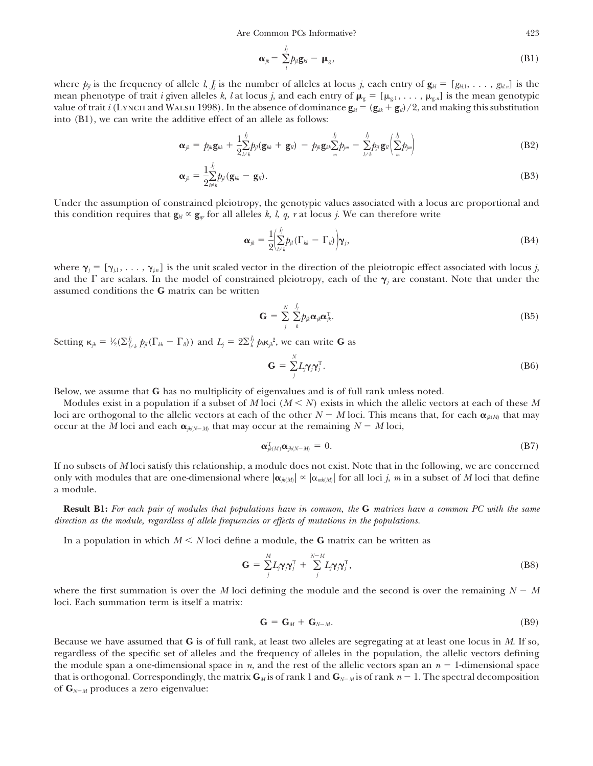Are Common PCs Informative? 423

$$
\boldsymbol{\alpha}_{jk} = \sum_{l}^{j_j} p_{jl} \boldsymbol{g}_{kl} - \boldsymbol{\mu}_{g}, \tag{B1}
$$

where  $p_{ij}$  is the frequency of allele *l*,  $J_i$  is the number of alleles at locus *j*, each entry of  $\mathbf{g}_{kl} = [g_{kl1}, \ldots, g_{kln}]$  is the mean phenotype of trait *i* given alleles *k*, *l* at locus *j*, and each entry of  $\mu_{g} = [\mu_{g,1}, \ldots, \mu_{g,n}]$  is the mean genotypic value of trait *i* (LYNCH and WALSH 1998). In the absence of dominance  $\mathbf{g}_{kl} = (\mathbf{g}_{kk} + \mathbf{g}_{ll})/2$ , and making this substitution into (B1), we can write the additive effect of an allele as follows:

$$
\boldsymbol{\alpha}_{jk} = p_{jk}\mathbf{g}_{kk} + \frac{1}{2}\sum_{l \neq k}^{J_j} p_{jl}(\mathbf{g}_{kk} + \mathbf{g}_{ll}) - p_{jk}\mathbf{g}_{kk}\sum_{m}^{J_j} p_{jm} - \sum_{l \neq k}^{J_j} p_{jl}\mathbf{g}_{ll}\left(\sum_{m}^{J_j} p_{jm}\right)
$$
(B2)

$$
\boldsymbol{\alpha}_{jk} = \frac{1}{2} \sum_{l \neq k}^{j_j} b_{jl} (\mathbf{g}_{kk} - \mathbf{g}_{ll}). \tag{B3}
$$

Under the assumption of constrained pleiotropy, the genotypic values associated with a locus are proportional and this condition requires that  $\mathbf{g}_{k} \propto \mathbf{g}_{ar}$  for all alleles *k*, *l*, *q*, *r* at locus *j*. We can therefore write

$$
\boldsymbol{\alpha}_{jk} = \frac{1}{2} \left( \sum_{l \neq k}^{J_j} p_{jl} (\Gamma_{kk} - \Gamma_{ll}) \right) \boldsymbol{\gamma}_j, \tag{B4}
$$

where  $\gamma_j = [\gamma_{j1}, \ldots, \gamma_{jn}]$  is the unit scaled vector in the direction of the pleiotropic effect associated with locus *j*, and the  $\Gamma$  are scalars. In the model of constrained pleiotropy, each of the  $\gamma_j$  are constant. Note that under the assumed conditions the **G** matrix can be written

$$
\mathbf{G} = \sum_{j}^{N} \sum_{k}^{J_j} p_{jk} \alpha_{jk} \alpha_{jk}^{\mathrm{T}}.
$$
 (B5)

Setting  $\kappa_{jk} = \frac{1}{2}(\sum_{l\neq k}^{j} p_{jl}(\Gamma_{kk} - \Gamma_{ll}))$  and  $L_j = 2\Sigma_{k}^{j} p_{k} \kappa_{jk}^{2}$ , we can write G as ⁄

$$
\mathbf{G} = \sum_{j}^{N} L_{j} \boldsymbol{\gamma} \boldsymbol{\gamma}_{j}^{T}.
$$
 (B6)

Below, we assume that **G** has no multiplicity of eigenvalues and is of full rank unless noted.

Modules exist in a population if a subset of *M* loci ( $M \leq N$ ) exists in which the allelic vectors at each of these *M* loci are orthogonal to the allelic vectors at each of the other  $N-M$  loci. This means that, for each  $\pmb{\alpha}_{_{\text{jk}(M)}}$  that may occur at the *M* loci and each  $\alpha_{jk(N-M)}$  that may occur at the remaining  $N-M$  loci,

$$
\boldsymbol{\alpha}_{jk(M)}^{\mathrm{T}}\boldsymbol{\alpha}_{jk(N-M)} = 0. \tag{B7}
$$

If no subsets of *M* loci satisfy this relationship, a module does not exist. Note that in the following, we are concerned only with modules that are one-dimensional where  $|\alpha_{jk(M)}| \propto |\alpha_{mk(M)}|$  for all loci *j*, *m* in a subset of *M* loci that define a module.

**Result B1:** *For each pair of modules that populations have in common, the* **G** *matrices have a common PC with the same direction as the module, regardless of allele frequencies or effects of mutations in the populations.*

In a population in which  $M \leq N$  loci define a module, the **G** matrix can be written as

$$
\mathbf{G} = \sum_{j}^{M} L_{j} \boldsymbol{\gamma}_{j} \boldsymbol{\gamma}_{j}^{\mathrm{T}} + \sum_{j}^{N-M} L_{j} \boldsymbol{\gamma}_{j} \boldsymbol{\gamma}_{j}^{\mathrm{T}}, \qquad (B8)
$$

where the first summation is over the *M* loci defining the module and the second is over the remaining  $N - M$ loci. Each summation term is itself a matrix:

$$
\mathbf{G} = \mathbf{G}_M + \mathbf{G}_{N-M}.\tag{B9}
$$

Because we have assumed that **G** is of full rank, at least two alleles are segregating at at least one locus in *M*. If so, regardless of the specific set of alleles and the frequency of alleles in the population, the allelic vectors defining the module span a one-dimensional space in  $n$ , and the rest of the allelic vectors span an  $n-1$ -dimensional space that is orthogonal. Correspondingly, the matrix  $G_M$  is of rank 1 and  $G_{N-M}$  is of rank  $n-1.$  The spectral decomposition of **G***N*-*<sup>M</sup>* produces a zero eigenvalue: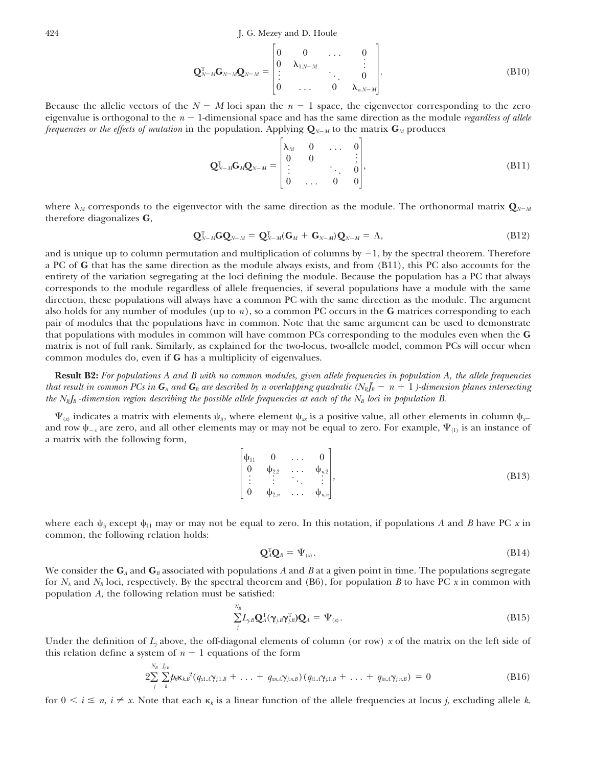$$
\mathbf{Q}_{N-M}^{\mathrm{T}}\mathbf{G}_{N-M}\mathbf{Q}_{N-M} = \begin{bmatrix} 0 & 0 & \cdots & 0 \\ 0 & \lambda_{1,N-M} & & \vdots \\ \vdots & & \ddots & 0 \\ 0 & \cdots & 0 & \lambda_{n,N-M} \end{bmatrix} .
$$
 (B10)

Because the allelic vectors of the  $N - M$  loci span the  $n - 1$  space, the eigenvector corresponding to the zero eigenvalue is orthogonal to the  $n-1$ -dimensional space and has the same direction as the module *regardless of allele frequencies or the effects of mutation* in the population. Applying **Q***N*-*<sup>M</sup>* to the matrix **G***<sup>M</sup>* produces

$$
\mathbf{Q}_{N-M}^{\mathrm{T}}\mathbf{G}_{M}\mathbf{Q}_{N-M} = \begin{bmatrix} \lambda_{M} & 0 & \dots & 0 \\ 0 & 0 & & \vdots \\ \vdots & & \ddots & 0 \\ 0 & \dots & 0 & 0 \end{bmatrix},
$$
(B11)

where  $\lambda_M$  corresponds to the eigenvector with the same direction as the module. The orthonormal matrix  $\mathbf{Q}_{N-M}$ therefore diagonalizes **G**,

$$
\mathbf{Q}_{N-M}^{\mathrm{T}}\mathbf{G}\mathbf{Q}_{N-M}=\mathbf{Q}_{N-M}^{\mathrm{T}}(\mathbf{G}_{M}+\mathbf{G}_{N-M})\mathbf{Q}_{N-M}=\Lambda,
$$
\n(B12)

and is unique up to column permutation and multiplication of columns by -1, by the spectral theorem. Therefore a PC of **G** that has the same direction as the module always exists, and from (B11), this PC also accounts for the entirety of the variation segregating at the loci defining the module. Because the population has a PC that always corresponds to the module regardless of allele frequencies, if several populations have a module with the same direction, these populations will always have a common PC with the same direction as the module. The argument also holds for any number of modules (up to *n*), so a common PC occurs in the **G** matrices corresponding to each pair of modules that the populations have in common. Note that the same argument can be used to demonstrate that populations with modules in common will have common PCs corresponding to the modules even when the **G** matrix is not of full rank. Similarly, as explained for the two-locus, two-allele model, common PCs will occur when common modules do, even if **G** has a multiplicity of eigenvalues.

**Result B2:** *For populations A and B with no common modules, given allele frequencies in population A, the allele frequencies* that result in common PCs in  $G_{\scriptscriptstyle A}$  and  $G_{\scriptscriptstyle B}$  are described by n overlapping quadratic (N<sub>B</sub>J<sub>B</sub>  $-$  n  $+$   $1$  )-dimension planes intersecting *the*  $N_BJ_B$ -*dimension region describing the possible allele frequencies at each of the*  $N_B$  *loci in population B.* 

 $\Psi_{(x)}$  indicates a matrix with elements  $\psi_{ij}$ , where element  $\psi_{xx}$  is a positive value, all other elements in column  $\psi_{x-}$ and row  $\psi_{-x}$  are zero, and all other elements may or may not be equal to zero. For example,  $\Psi_{(1)}$  is an instance of a matrix with the following form,

> $\overline{\phantom{a}}$  $\psi_{11}$  0 ... 0  $\begin{array}{ccccccc}\n0 & \psi_{2,2} & \ldots & \psi_{n,2} \\
> \vdots & \vdots & \ddots & \vdots \\
> 0 & \psi_{2,n} & \ldots & \psi_{n,n}\n\end{array}$ (B13)

where each  $\psi_{ij}$  except  $\psi_{11}$  may or may not be equal to zero. In this notation, if populations *A* and *B* have PC *x* in common, the following relation holds:

$$
\mathbf{Q}_{A}^{\mathrm{T}}\mathbf{Q}_{B} = \Psi_{(x)}.\tag{B14}
$$

We consider the  $\mathbf{G}_A$  and  $\mathbf{G}_B$  associated with populations A and B at a given point in time. The populations segregate for  $N_A$  and  $N_B$  loci, respectively. By the spectral theorem and (B6), for population *B* to have PC *x* in common with population *A*, the following relation must be satisfied:

$$
\sum_{j}^{N_B} L_{j,B} \mathbf{Q}_{A}^{\mathrm{T}}(\mathbf{\gamma}_{j,B}\mathbf{\gamma}_{j,B}^{\mathrm{T}})\mathbf{Q}_{A} = \Psi_{(x)}.
$$
\n(B15)

Under the definition of  $L_j$  above, the off-diagonal elements of column (or row) *x* of the matrix on the left side of this relation define a system of  $n-1$  equations of the form

$$
2\sum_{j}^{N_B}\sum_{k}^{J_{j,B}}p_k\kappa_{k,B}^2(q_{x1.A}\gamma_{j1.B}+\ldots+q_{xn.A}\gamma_{j.n.B})(q_{i1.A}\gamma_{j1.B}+\ldots+q_{in.A}\gamma_{j.n.B})=0
$$
 (B16)

for  $0 \le i \le n$ ,  $i \ne x$ . Note that each  $\kappa_k$  is a linear function of the allele frequencies at locus *j*, excluding allele *k*.